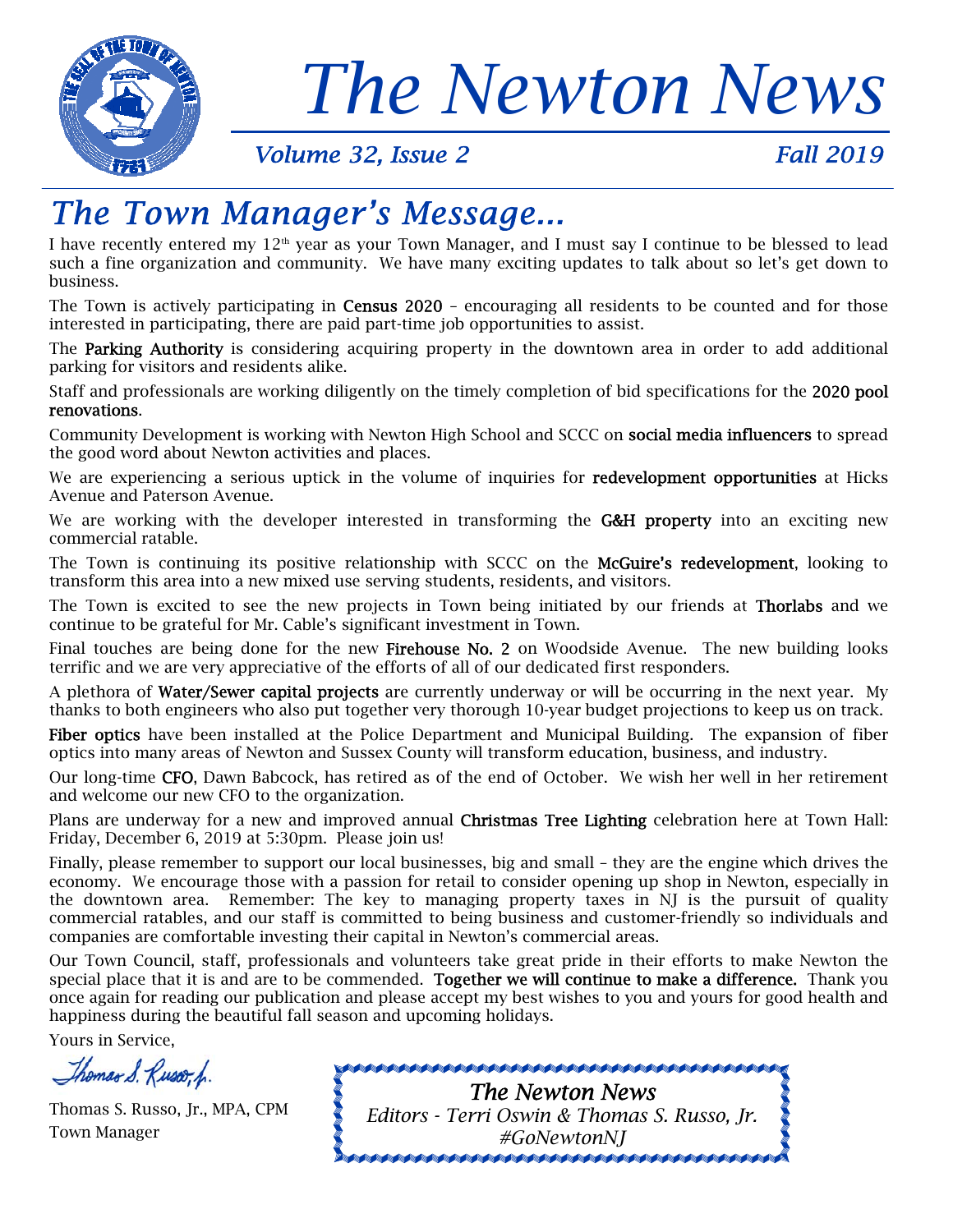

# *The Newton News*<br>Volume 32, Issue 2 Fall 2019

# *The Town Manager's Message...*

I have recently entered my 12<sup>th</sup> year as your Town Manager, and I must say I continue to be blessed to lead such a fine organization and community. We have many exciting updates to talk about so let's get down to business.

The Town is actively participating in Census 2020 - encouraging all residents to be counted and for those interested in participating, there are paid part-time job opportunities to assist.

The Parking Authority is considering acquiring property in the downtown area in order to add additional parking for visitors and residents alike.

Staff and professionals are working diligently on the timely completion of bid specifications for the 2020 pool renovations.

Community Development is working with Newton High School and SCCC on social media influencers to spread the good word about Newton activities and places.

We are experiencing a serious uptick in the volume of inquiries for **redevelopment opportunities** at Hicks Avenue and Paterson Avenue.

We are working with the developer interested in transforming the **G&H property** into an exciting new commercial ratable.

The Town is continuing its positive relationship with SCCC on the McGuire's redevelopment, looking to transform this area into a new mixed use serving students, residents, and visitors.

The Town is excited to see the new projects in Town being initiated by our friends at **Thorlabs** and we continue to be grateful for Mr. Cable's significant investment in Town.

Final touches are being done for the new Firehouse No. 2 on Woodside Avenue. The new building looks terrific and we are very appreciative of the efforts of all of our dedicated first responders.

A plethora of Water/Sewer capital projects are currently underway or will be occurring in the next year. My thanks to both engineers who also put together very thorough 10-year budget projections to keep us on track.

Fiber optics have been installed at the Police Department and Municipal Building. The expansion of fiber optics into many areas of Newton and Sussex County will transform education, business, and industry.

Our long-time CFO, Dawn Babcock, has retired as of the end of October. We wish her well in her retirement and welcome our new CFO to the organization.

Plans are underway for a new and improved annual **Christmas Tree Lighting** celebration here at Town Hall: Friday, December 6, 2019 at 5:30pm. Please join us!

Finally, please remember to support our local businesses, big and small – they are the engine which drives the economy. We encourage those with a passion for retail to consider opening up shop in Newton, especially in the downtown area. Remember: The key to managing property taxes in NJ is the pursuit of quality commercial ratables, and our staff is committed to being business and customer-friendly so individuals and companies are comfortable investing their capital in Newton's commercial areas.

Our Town Council, staff, professionals and volunteers take great pride in their efforts to make Newton the special place that it is and are to be commended. Together we will continue to make a difference. Thank you once again for reading our publication and please accept my best wishes to you and yours for good health and happiness during the beautiful fall season and upcoming holidays.

Yours in Service,

Thomas S. Russo, p.

Thomas S. Russo, Jr., MPA, CPM Town Manager

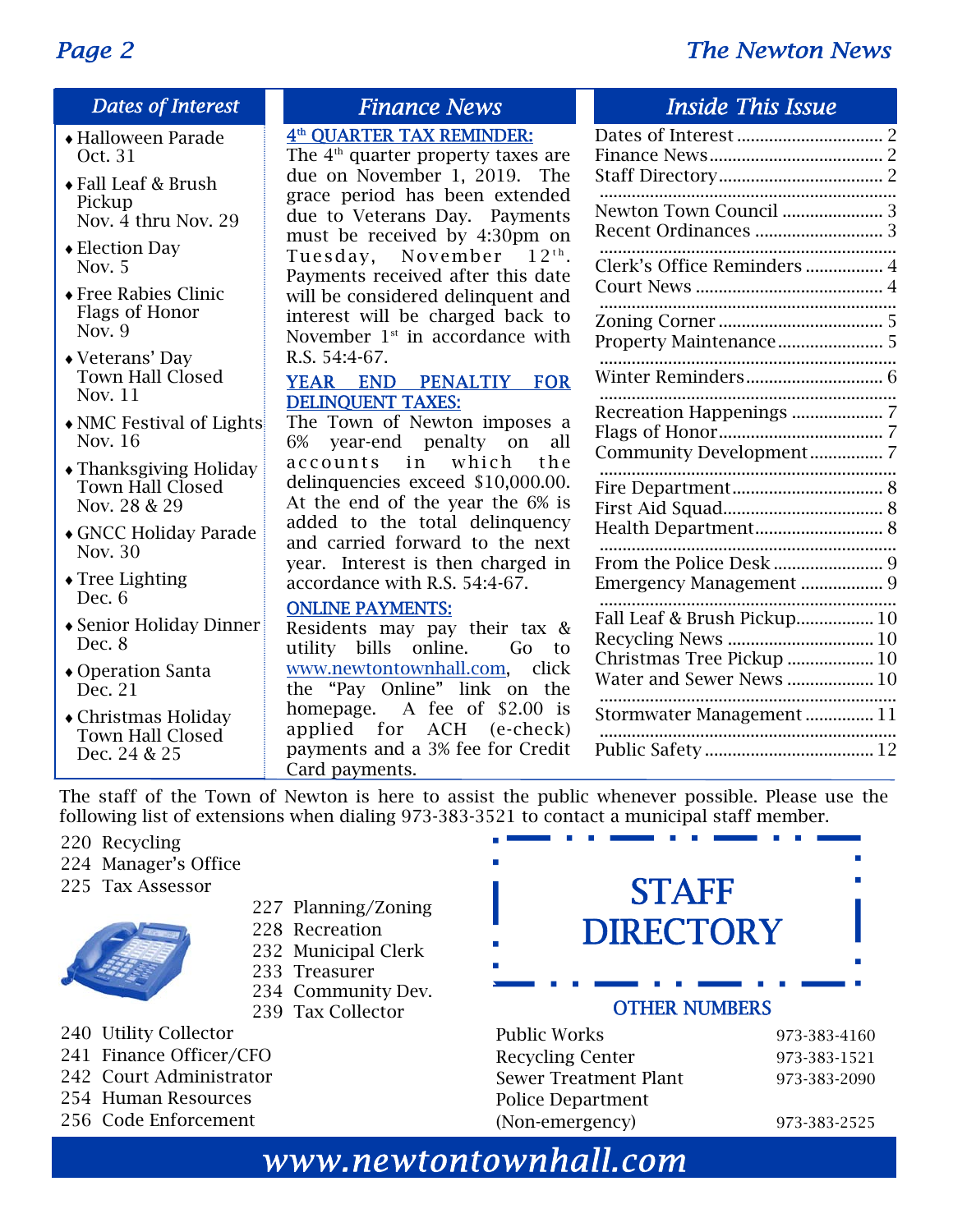### *Page 2 The Newton News*

### *Dates of Interest*

- Halloween Parade Oct. 31
- Fall Leaf & Brush Pickup Nov.  $\overline{4}$  thru Nov. 29
- Election Day Nov. 5
- Free Rabies Clinic Flags of Honor Nov. 9
- Veterans' Day Town Hall Closed Nov. 11
- NMC Festival of Lights Nov. 16
- Thanksgiving Holiday Town Hall Closed Nov. 28 & 29
- GNCC Holiday Parade Nov. 30
- Tree Lighting Dec. 6
- Senior Holiday Dinner Dec. 8
- Operation Santa Dec. 21
- Christmas Holiday Town Hall Closed Dec. 24 & 25

### 4th QUARTER TAX REMINDER:

The 4<sup>th</sup> quarter property taxes are due on November 1, 2019. The grace period has been extended due to Veterans Day. Payments must be received by 4:30pm on Tuesday, November  $12<sup>th</sup>$ . Payments received after this date will be considered delinquent and interest will be charged back to November  $1<sup>st</sup>$  in accordance with R.S. 54:4-67.

### YEAR END PENALTIY FOR DELINQUENT TAXES:

The Town of Newton imposes a 6% year-end penalty on all accounts in which the delinquencies exceed \$10,000.00. At the end of the year the 6% is added to the total delinquency and carried forward to the next year. Interest is then charged in accordance with R.S. 54:4-67.

### ONLINE PAYMENTS:

Residents may pay their tax & utility bills online. Go to www.newtontownhall.com, click the "Pay Online" link on the homepage. A fee of \$2.00 is applied for ACH (e-check) payments and a 3% fee for Credit Card payments.

### *Finance News Inside This Issue*

| Newton Town Council  3                                                               |
|--------------------------------------------------------------------------------------|
| Clerk's Office Reminders  4                                                          |
|                                                                                      |
|                                                                                      |
| Community Development 7                                                              |
| Health Department 8                                                                  |
| <br>Emergency Management  9                                                          |
| Fall Leaf & Brush Pickup 10<br>Christmas Tree Pickup  10<br>Water and Sewer News  10 |
| Stormwater Management  11                                                            |
|                                                                                      |

The staff of the Town of Newton is here to assist the public whenever possible. Please use the following list of extensions when dialing 973-383-3521 to contact a municipal staff member.

- 220 Recycling
- 224 Manager's Office
- 225 Tax Assessor



- 227 Planning/Zoning
- 228 Recreation
- 232 Municipal Clerk
- 233 Treasurer
- 234 Community Dev.
- 239 Tax Collector
- 240 Utility Collector
- 241 Finance Officer/CFO
- 242 Court Administrator
- 254 Human Resources
- 256 Code Enforcement



Public Works 973-383-4160 Recycling Center 973-383-1521 Sewer Treatment Plant 973-383-2090 Police Department (Non-emergency) 973-383-2525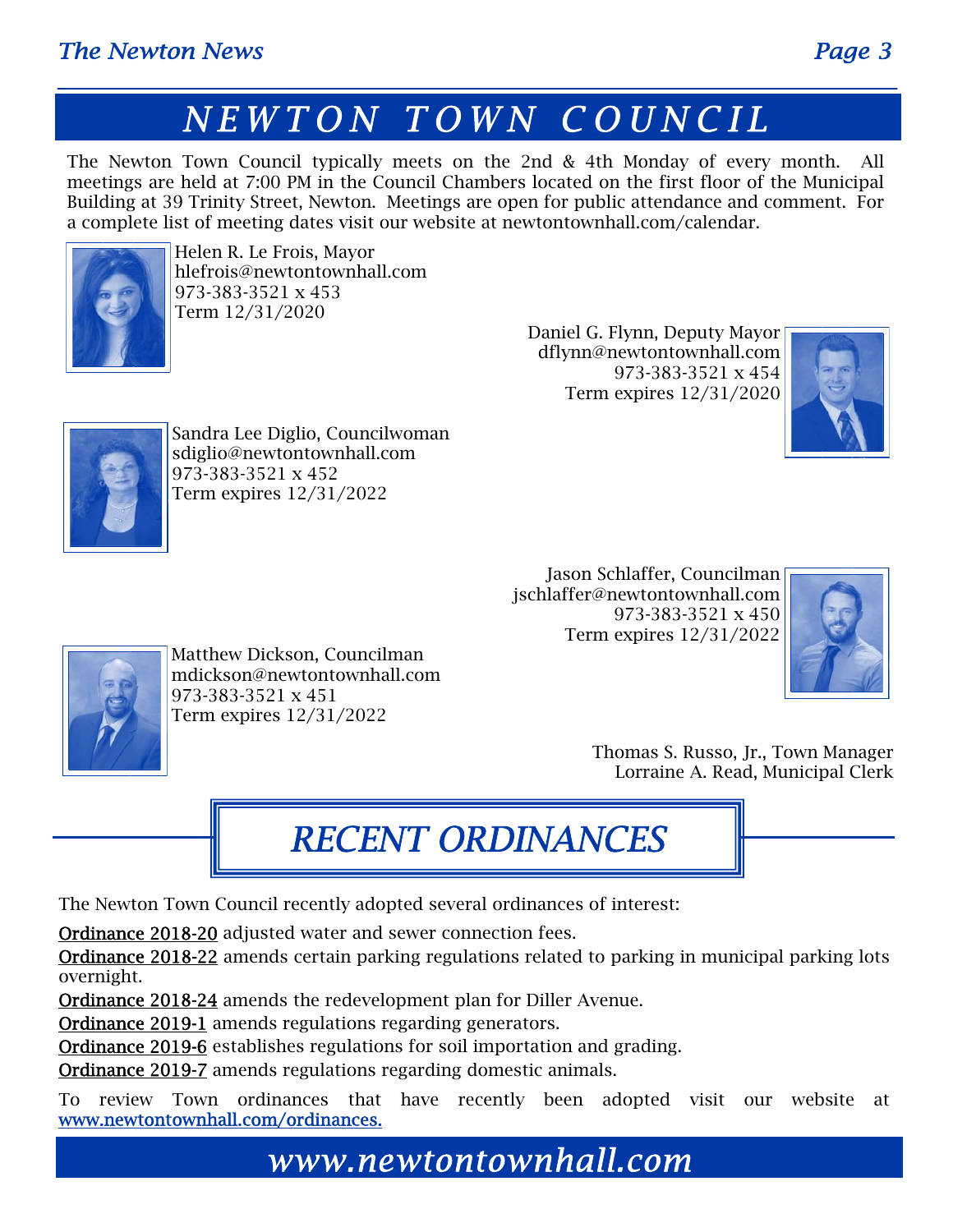The Newton Town Council typically meets on the 2nd & 4th Monday of every month. All meetings are held at 7:00 PM in the Council Chambers located on the first floor of the Municipal Building at 39 Trinity Street, Newton. Meetings are open for public attendance and comment. For a complete list of meeting dates visit our website at newtontownhall.com/calendar.



Helen R. Le Frois, Mayor hlefrois@newtontownhall.com 973-383-3521 x 453 Term 12/31/2020

Daniel G. Flynn, Deputy Mayor dflynn@newtontownhall.com 973-383-3521 x 454 Term expires 12/31/2020





Sandra Lee Diglio, Councilwoman sdiglio@newtontownhall.com 973-383-3521 x 452 Term expires 12/31/2022

> Jason Schlaffer, Councilman jschlaffer@newtontownhall.com 973-383-3521 x 450 Term expires 12/31/2022





Matthew Dickson, Councilman mdickson@newtontownhall.com 973-383-3521 x 451 Term expires 12/31/2022

> Thomas S. Russo, Jr., Town Manager Lorraine A. Read, Municipal Clerk

# *RECENT ORDINANCES*

The Newton Town Council recently adopted several ordinances of interest:

Ordinance 2018-20 adjusted water and sewer connection fees.

Ordinance 2018-22 amends certain parking regulations related to parking in municipal parking lots overnight.

Ordinance 2018-24 amends the redevelopment plan for Diller Avenue.

Ordinance 2019-1 amends regulations regarding generators.

Ordinance 2019-6 establishes regulations for soil importation and grading.

Ordinance 2019-7 amends regulations regarding domestic animals.

To review Town ordinances that have recently been adopted visit our website at www.newtontownhall.com/ordinances.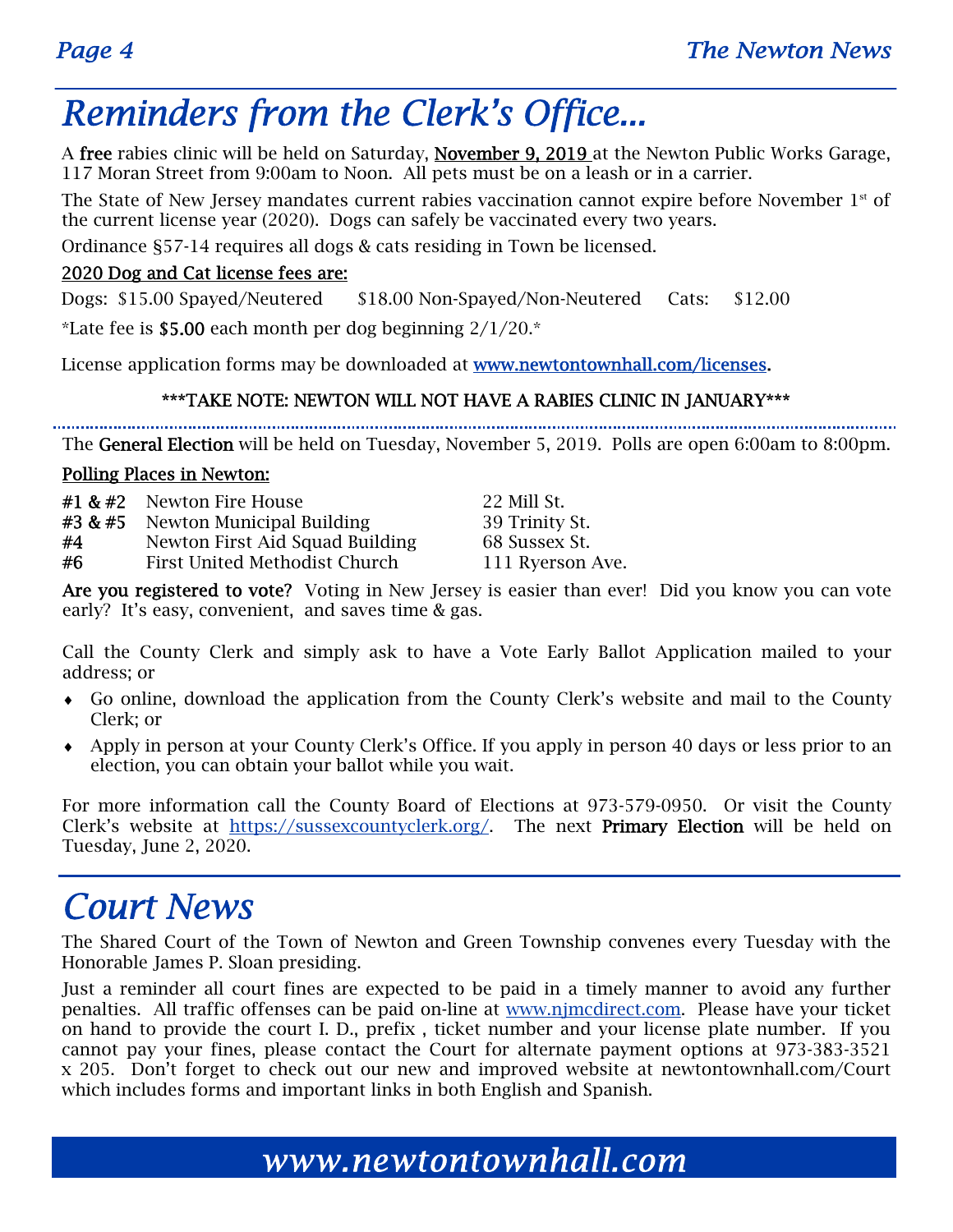# *Reminders from the Clerk's Office...*

A free rabies clinic will be held on Saturday, November 9, 2019 at the Newton Public Works Garage, 117 Moran Street from 9:00am to Noon. All pets must be on a leash or in a carrier.

The State of New Jersey mandates current rabies vaccination cannot expire before November  $1<sup>st</sup>$  of the current license year (2020). Dogs can safely be vaccinated every two years.

Ordinance §57-14 requires all dogs & cats residing in Town be licensed.

### 2020 Dog and Cat license fees are:

Dogs: \$15.00 Spayed/Neutered \$18.00 Non-Spayed/Non-Neutered Cats: \$12.00

\*Late fee is \$5.00 each month per dog beginning  $2/1/20.*$ 

License application forms may be downloaded at www.newtontownhall.com/licenses.

### \*\*\*TAKE NOTE: NEWTON WILL NOT HAVE A RABIES CLINIC IN JANUARY\*\*\*

The General Election will be held on Tuesday, November 5, 2019. Polls are open 6:00am to 8:00pm.

### Polling Places in Newton:

|         | $#1$ & $#2$ Newton Fire House   | 22 Mill St.      |
|---------|---------------------------------|------------------|
| #3 & #5 | Newton Municipal Building       | 39 Trinity St.   |
| #4      | Newton First Aid Squad Building | 68 Sussex St.    |
| #6      | First United Methodist Church   | 111 Ryerson Ave. |

Are you registered to vote? Voting in New Jersey is easier than ever! Did you know you can vote early? It's easy, convenient, and saves time & gas.

Call the County Clerk and simply ask to have a Vote Early Ballot Application mailed to your address; or

- Go online, download the application from the County Clerk's website and mail to the County Clerk; or
- Apply in person at your County Clerk's Office. If you apply in person 40 days or less prior to an election, you can obtain your ballot while you wait.

For more information call the County Board of Elections at 973-579-0950. Or visit the County Clerk's website at https://sussexcountyclerk.org/. The next Primary Election will be held on Tuesday, June 2, 2020.

# *Court News*

The Shared Court of the Town of Newton and Green Township convenes every Tuesday with the Honorable James P. Sloan presiding.

Just a reminder all court fines are expected to be paid in a timely manner to avoid any further penalties. All traffic offenses can be paid on-line at www.njmcdirect.com. Please have your ticket on hand to provide the court I. D., prefix , ticket number and your license plate number. If you cannot pay your fines, please contact the Court for alternate payment options at 973-383-3521 x 205. Don't forget to check out our new and improved website at newtontownhall.com/Court which includes forms and important links in both English and Spanish.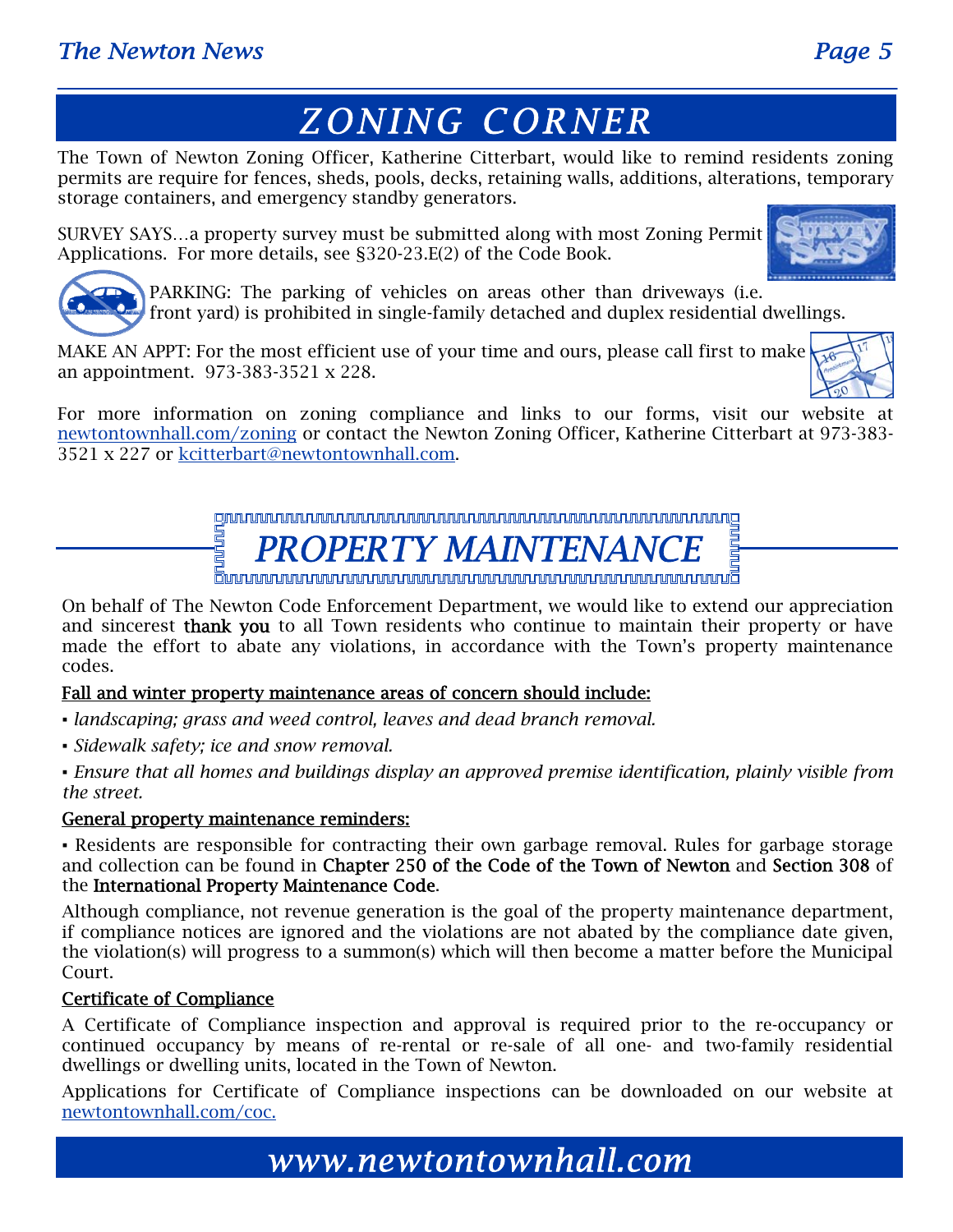# *ZONING CORNER*

The Town of Newton Zoning Officer, Katherine Citterbart, would like to remind residents zoning permits are require for fences, sheds, pools, decks, retaining walls, additions, alterations, temporary storage containers, and emergency standby generators.

SURVEY SAYS…a property survey must be submitted along with most Zoning Permit Applications. For more details, see §320-23.E(2) of the Code Book.





PARKING: The parking of vehicles on areas other than driveways (i.e. front yard) is prohibited in single-family detached and duplex residential dwellings.

MAKE AN APPT: For the most efficient use of your time and ours, please call first to make an appointment. 973-383-3521 x 228.

For more information on zoning compliance and links to our forms, visit our website at newtontownhall.com/zoning or contact the Newton Zoning Officer, Katherine Citterbart at 973-383- 3521 x 227 or kcitterbart@newtontownhall.com.

> **ENDROPERTY MAINTENANCE**

On behalf of The Newton Code Enforcement Department, we would like to extend our appreciation and sincerest **thank you** to all Town residents who continue to maintain their property or have made the effort to abate any violations, in accordance with the Town's property maintenance codes.

### Fall and winter property maintenance areas of concern should include:

- *▪ landscaping; grass and weed control, leaves and dead branch removal.*
- *▪ Sidewalk safety; ice and snow removal.*

*▪ Ensure that all homes and buildings display an approved premise identification, plainly visible from the street.* 

### General property maintenance reminders:

▪ Residents are responsible for contracting their own garbage removal. Rules for garbage storage and collection can be found in Chapter 250 of the Code of the Town of Newton and Section 308 of the International Property Maintenance Code.

Although compliance, not revenue generation is the goal of the property maintenance department, if compliance notices are ignored and the violations are not abated by the compliance date given, the violation(s) will progress to a summon(s) which will then become a matter before the Municipal Court.

### Certificate of Compliance

A Certificate of Compliance inspection and approval is required prior to the re-occupancy or continued occupancy by means of re-rental or re-sale of all one- and two-family residential dwellings or dwelling units, located in the Town of Newton.

Applications for Certificate of Compliance inspections can be downloaded on our website at newtontownhall.com/coc.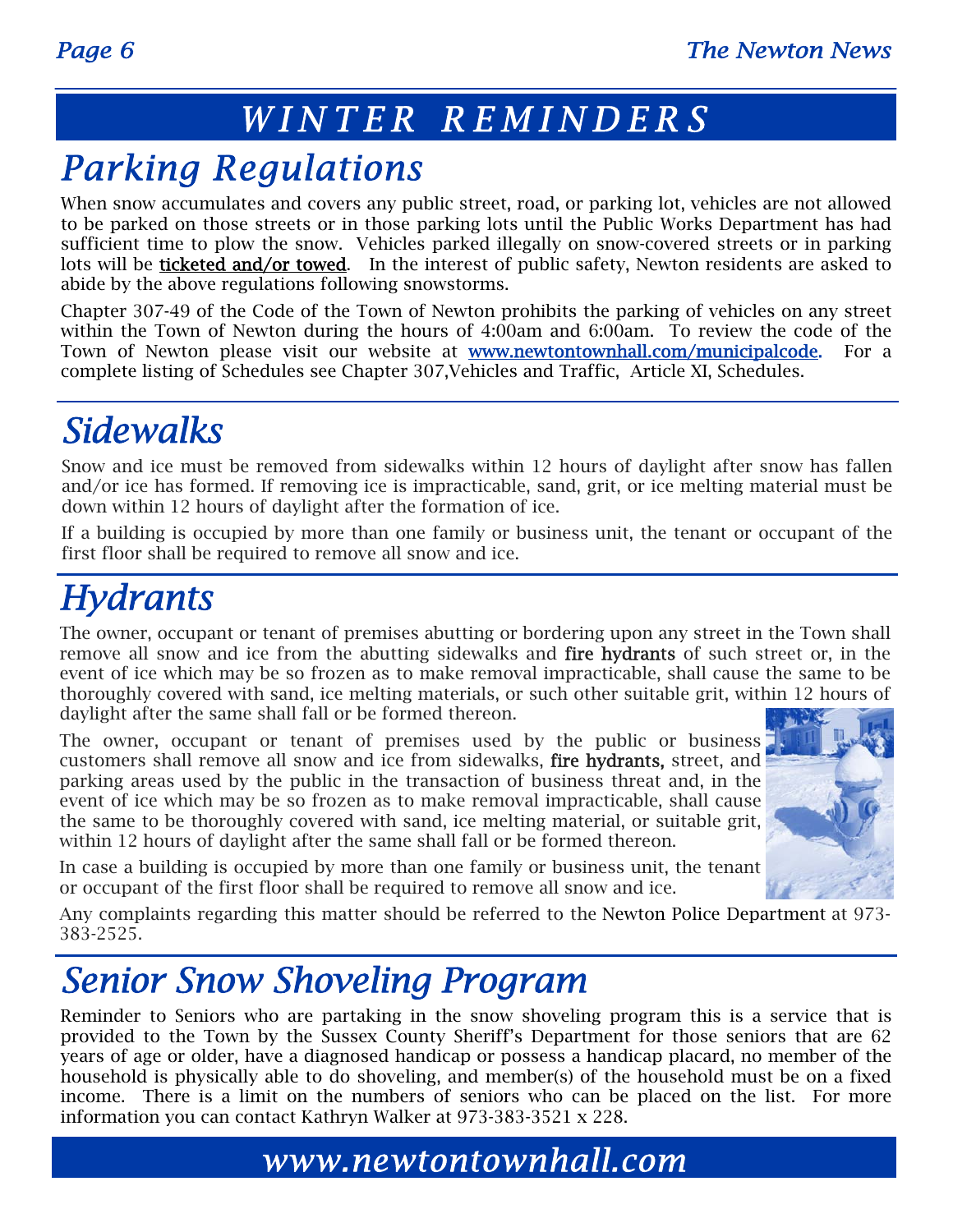### *WINTER REMINDERS*

# *Parking Regulations*

When snow accumulates and covers any public street, road, or parking lot, vehicles are not allowed to be parked on those streets or in those parking lots until the Public Works Department has had sufficient time to plow the snow. Vehicles parked illegally on snow-covered streets or in parking lots will be **ticketed and/or towed**. In the interest of public safety, Newton residents are asked to abide by the above regulations following snowstorms.

Chapter 307-49 of the Code of the Town of Newton prohibits the parking of vehicles on any street within the Town of Newton during the hours of 4:00am and 6:00am. To review the code of the Town of Newton please visit our website at **www.newtontownhall.com/municipalcode.** For a complete listing of Schedules see Chapter 307,Vehicles and Traffic, Article XI, Schedules.

# *Sidewalks*

Snow and ice must be removed from sidewalks within 12 hours of daylight after snow has fallen and/or ice has formed. If removing ice is impracticable, sand, grit, or ice melting material must be down within 12 hours of daylight after the formation of ice.

If a building is occupied by more than one family or business unit, the tenant or occupant of the first floor shall be required to remove all snow and ice.

# *Hydrants*

The owner, occupant or tenant of premises abutting or bordering upon any street in the Town shall remove all snow and ice from the abutting sidewalks and fire hydrants of such street or, in the event of ice which may be so frozen as to make removal impracticable, shall cause the same to be thoroughly covered with sand, ice melting materials, or such other suitable grit, within 12 hours of daylight after the same shall fall or be formed thereon.

The owner, occupant or tenant of premises used by the public or business customers shall remove all snow and ice from sidewalks, fire hydrants, street, and parking areas used by the public in the transaction of business threat and, in the event of ice which may be so frozen as to make removal impracticable, shall cause the same to be thoroughly covered with sand, ice melting material, or suitable grit, within 12 hours of daylight after the same shall fall or be formed thereon.



In case a building is occupied by more than one family or business unit, the tenant or occupant of the first floor shall be required to remove all snow and ice.

Any complaints regarding this matter should be referred to the Newton Police Department at 973- 383-2525.

# *Senior Snow Shoveling Program*

Reminder to Seniors who are partaking in the snow shoveling program this is a service that is provided to the Town by the Sussex County Sheriff's Department for those seniors that are 62 years of age or older, have a diagnosed handicap or possess a handicap placard, no member of the household is physically able to do shoveling, and member(s) of the household must be on a fixed income. There is a limit on the numbers of seniors who can be placed on the list. For more information you can contact Kathryn Walker at 973-383-3521 x 228.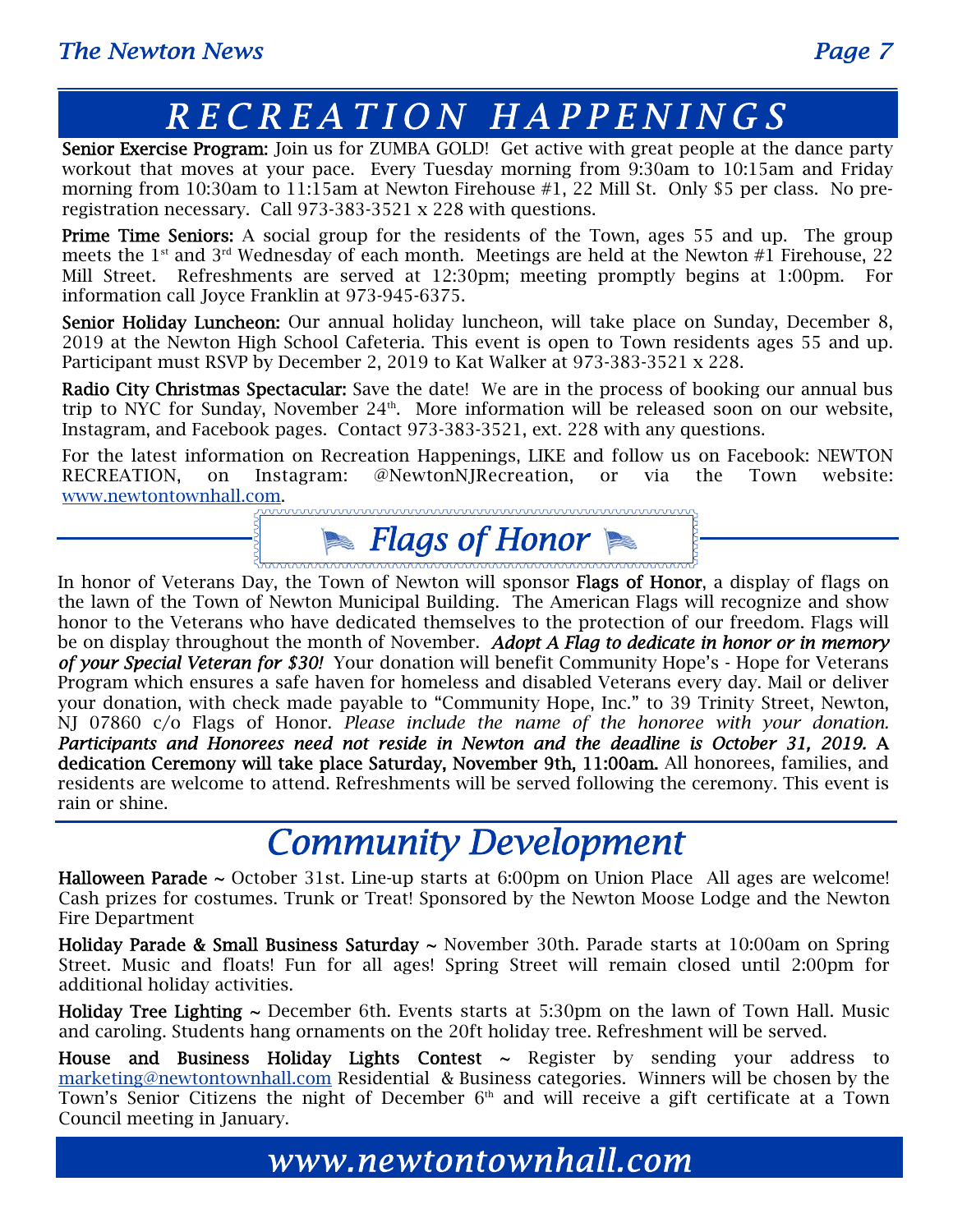# *RECREATION HAPPENINGS*

Senior Exercise Program: Join us for ZUMBA GOLD! Get active with great people at the dance party workout that moves at your pace. Every Tuesday morning from 9:30am to 10:15am and Friday morning from 10:30am to 11:15am at Newton Firehouse #1, 22 Mill St. Only \$5 per class. No preregistration necessary. Call 973-383-3521 x 228 with questions.

Prime Time Seniors: A social group for the residents of the Town, ages 55 and up. The group meets the  $1^{st}$  and  $3^{rd}$  Wednesday of each month. Meetings are held at the Newton #1 Firehouse, 22 Mill Street. Refreshments are served at 12:30pm; meeting promptly begins at 1:00pm. For information call Joyce Franklin at 973-945-6375.

Senior Holiday Luncheon: Our annual holiday luncheon, will take place on Sunday, December 8, 2019 at the Newton High School Cafeteria. This event is open to Town residents ages 55 and up. Participant must RSVP by December 2, 2019 to Kat Walker at 973-383-3521 x 228.

Radio City Christmas Spectacular: Save the date! We are in the process of booking our annual bus trip to NYC for Sunday, November  $24<sup>th</sup>$ . More information will be released soon on our website, Instagram, and Facebook pages. Contact 973-383-3521, ext. 228 with any questions.

For the latest information on Recreation Happenings, LIKE and follow us on Facebook: NEWTON RECREATION, on Instagram: @NewtonNJRecreation, or via the Town website:<br>www.newtontownhall.com.<br> $\overbrace{K}$ www.newtontownhall.com.

# **Flags of Honor Communication**

In honor of Veterans Day, the Town of Newton will sponsor Flags of Honor, a display of flags on the lawn of the Town of Newton Municipal Building. The American Flags will recognize and show honor to the Veterans who have dedicated themselves to the protection of our freedom. Flags will be on display throughout the month of November. *Adopt A Flag to dedicate in honor or in memory of your Special Veteran for \$30!* Your donation will benefit Community Hope's - Hope for Veterans Program which ensures a safe haven for homeless and disabled Veterans every day. Mail or deliver your donation, with check made payable to "Community Hope, Inc." to 39 Trinity Street, Newton, NJ 07860 c/o Flags of Honor. *Please include the name of the honoree with your donation. Participants and Honorees need not reside in Newton and the deadline is October 31, 2019.* A dedication Ceremony will take place Saturday, November 9th, 11:00am. All honorees, families, and residents are welcome to attend. Refreshments will be served following the ceremony. This event is rain or shine.

# *Community Development*

**Halloween Parade**  $\sim$  October 31st. Line-up starts at 6:00pm on Union Place All ages are welcome! Cash prizes for costumes. Trunk or Treat! Sponsored by the Newton Moose Lodge and the Newton Fire Department

**Holiday Parade & Small Business Saturday ~** November 30th. Parade starts at 10:00am on Spring Street. Music and floats! Fun for all ages! Spring Street will remain closed until 2:00pm for additional holiday activities.

**Holiday Tree Lighting**  $\sim$  **December 6th. Events starts at 5:30pm on the lawn of Town Hall. Music** and caroling. Students hang ornaments on the 20ft holiday tree. Refreshment will be served.

House and Business Holiday Lights Contest  $\sim$  Register by sending your address to marketing@newtontownhall.com Residential & Business categories. Winners will be chosen by the Town's Senior Citizens the night of December  $6<sup>th</sup>$  and will receive a gift certificate at a Town Council meeting in January.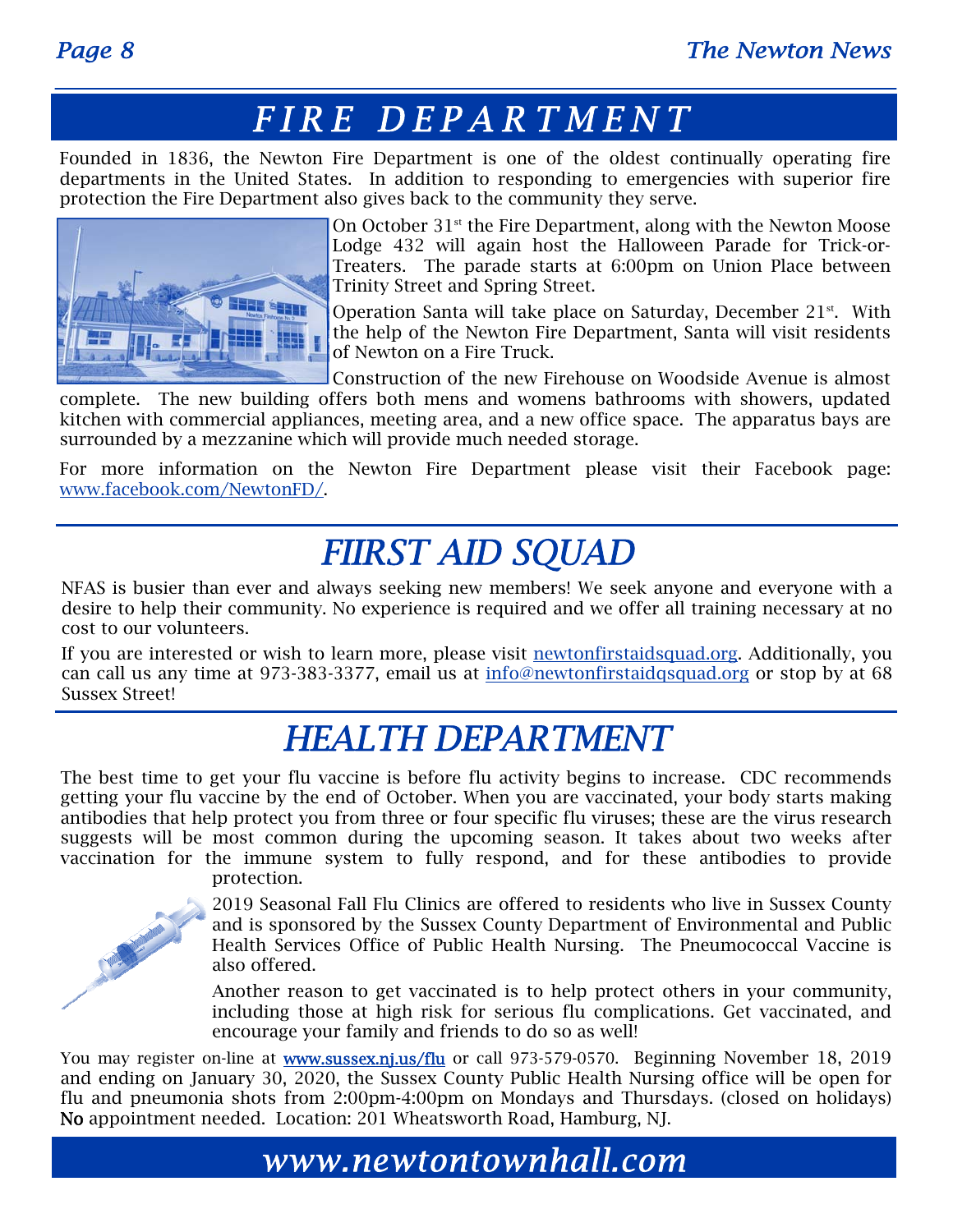### *FIRE DEPARTMENT*

Founded in 1836, the Newton Fire Department is one of the oldest continually operating fire departments in the United States. In addition to responding to emergencies with superior fire protection the Fire Department also gives back to the community they serve.



On October 31<sup>st</sup> the Fire Department, along with the Newton Moose Lodge 432 will again host the Halloween Parade for Trick-or-Treaters. The parade starts at 6:00pm on Union Place between Trinity Street and Spring Street.

Operation Santa will take place on Saturday, December  $21^{st}$ . With the help of the Newton Fire Department, Santa will visit residents of Newton on a Fire Truck.

Construction of the new Firehouse on Woodside Avenue is almost complete. The new building offers both mens and womens bathrooms with showers, updated kitchen with commercial appliances, meeting area, and a new office space. The apparatus bays are surrounded by a mezzanine which will provide much needed storage.

For more information on the Newton Fire Department please visit their Facebook page: www.facebook.com/NewtonFD/.

# *FIIRST AID SQUAD*

NFAS is busier than ever and always seeking new members! We seek anyone and everyone with a desire to help their community. No experience is required and we offer all training necessary at no cost to our volunteers.

If you are interested or wish to learn more, please visit newtonfirstaidsquad.org. Additionally, you can call us any time at 973-383-3377, email us at info@newtonfirstaidqsquad.org or stop by at 68 Sussex Street!

# *HEALTH DEPARTMENT*

The best time to get your flu vaccine is before flu activity begins to increase. CDC recommends getting your flu vaccine by the end of October. When you are vaccinated, your body starts making antibodies that help protect you from three or four specific flu viruses; these are the virus research suggests will be most common during the upcoming season. It takes about two weeks after vaccination for the immune system to fully respond, and for these antibodies to provide protection.



2019 Seasonal Fall Flu Clinics are offered to residents who live in Sussex County and is sponsored by the Sussex County Department of Environmental and Public Health Services Office of Public Health Nursing. The Pneumococcal Vaccine is also offered.

Another reason to get vaccinated is to help protect others in your community, including those at high risk for serious flu complications. Get vaccinated, and encourage your family and friends to do so as well!

You may register on-line at **www.sussex.nj.us/flu** or call 973-579-0570. Beginning November 18, 2019 and ending on January 30, 2020, the Sussex County Public Health Nursing office will be open for flu and pneumonia shots from 2:00pm-4:00pm on Mondays and Thursdays. (closed on holidays) No appointment needed. Location: 201 Wheatsworth Road, Hamburg, NJ.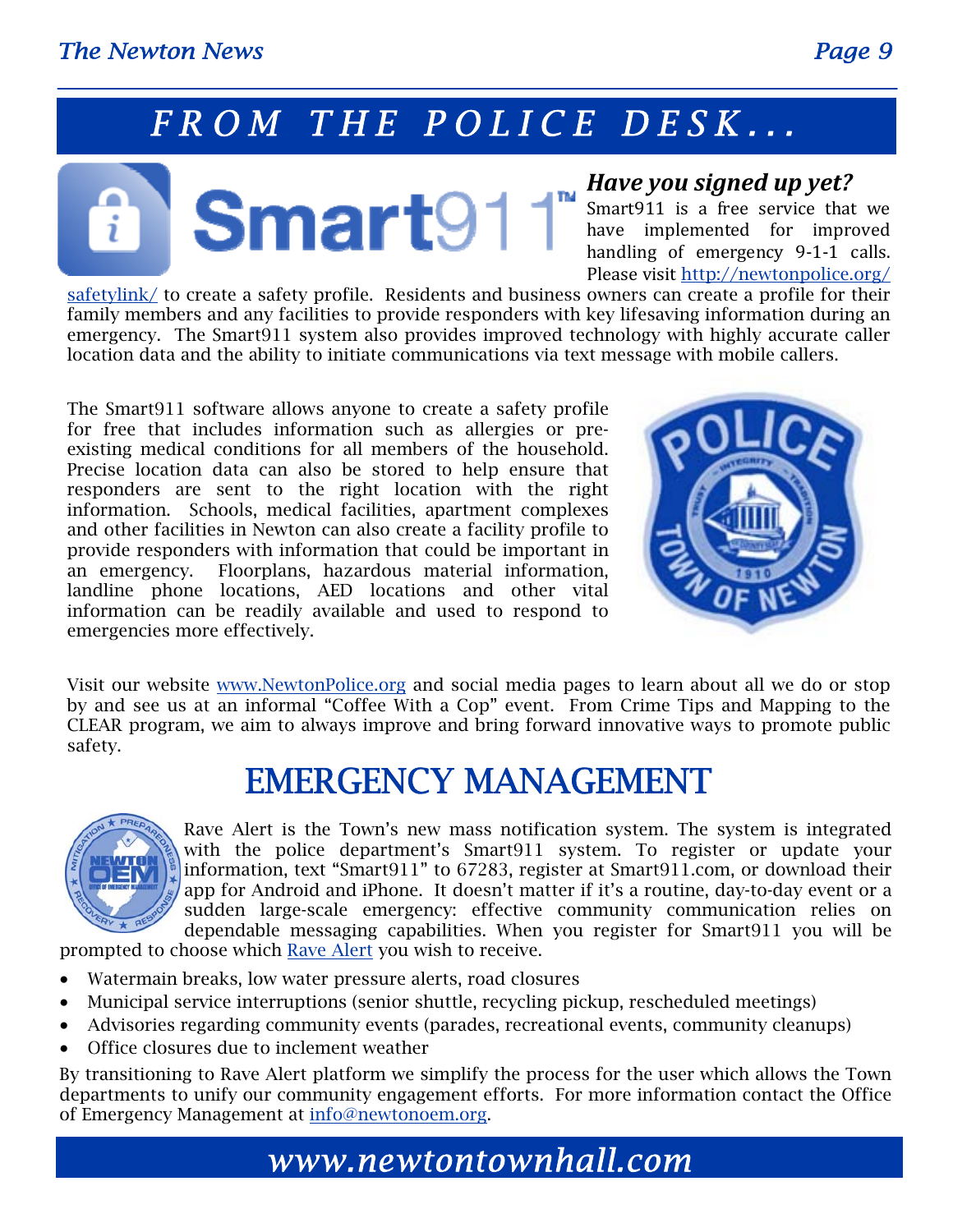# *FROM THE POLICE DESK...*



### *Have you signed up yet?*

Smart911 is a free service that we have implemented for improved handling of emergency 9-1-1 calls. Please visit http://newtonpolice.org/

safetylink/ to create a safety profile. Residents and business owners can create a profile for their family members and any facilities to provide responders with key lifesaving information during an emergency. The Smart911 system also provides improved technology with highly accurate caller location data and the ability to initiate communications via text message with mobile callers.

The Smart911 software allows anyone to create a safety profile for free that includes information such as allergies or preexisting medical conditions for all members of the household. Precise location data can also be stored to help ensure that responders are sent to the right location with the right information. Schools, medical facilities, apartment complexes and other facilities in Newton can also create a facility profile to provide responders with information that could be important in an emergency. Floorplans, hazardous material information, landline phone locations, AED locations and other vital information can be readily available and used to respond to emergencies more effectively.



Visit our website www.NewtonPolice.org and social media pages to learn about all we do or stop by and see us at an informal "Coffee With a Cop" event. From Crime Tips and Mapping to the CLEAR program, we aim to always improve and bring forward innovative ways to promote public safety.

# EMERGENCY MANAGEMENT



Rave Alert is the Town's new mass notification system. The system is integrated with the police department's Smart911 system. To register or update your information, text "Smart911" to 67283, register at Smart911.com, or download their app for Android and iPhone. It doesn't matter if it's a routine, day-to-day event or a sudden large-scale emergency: effective community communication relies on dependable messaging capabilities. When you register for Smart911 you will be

prompted to choose which Rave Alert you wish to receive.

- Watermain breaks, low water pressure alerts, road closures
- Municipal service interruptions (senior shuttle, recycling pickup, rescheduled meetings)
- Advisories regarding community events (parades, recreational events, community cleanups)
- Office closures due to inclement weather

By transitioning to Rave Alert platform we simplify the process for the user which allows the Town departments to unify our community engagement efforts. For more information contact the Office of Emergency Management at info@newtonoem.org.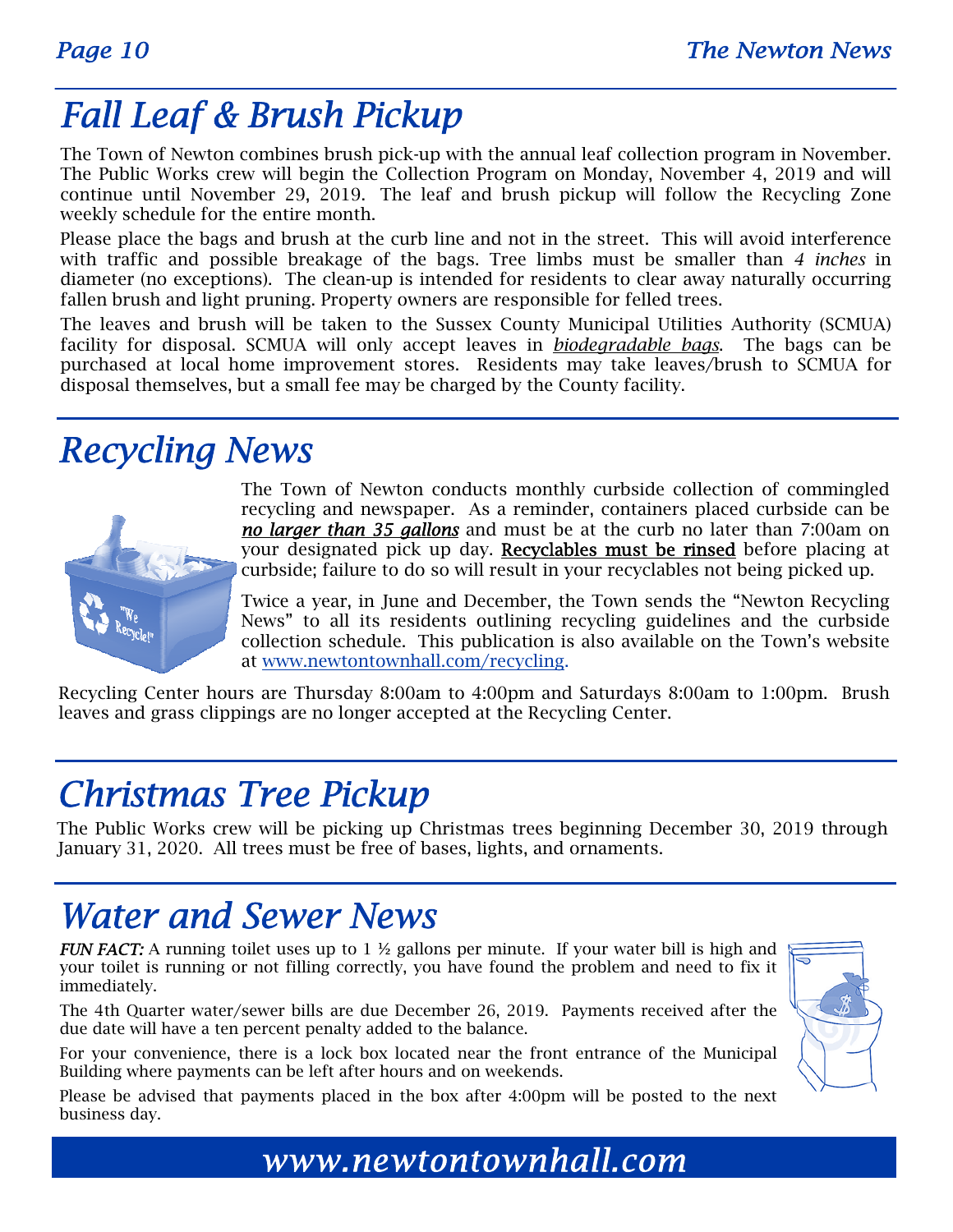# *Fall Leaf & Brush Pickup*

The Town of Newton combines brush pick-up with the annual leaf collection program in November. The Public Works crew will begin the Collection Program on Monday, November 4, 2019 and will continue until November 29, 2019. The leaf and brush pickup will follow the Recycling Zone weekly schedule for the entire month.

Please place the bags and brush at the curb line and not in the street. This will avoid interference with traffic and possible breakage of the bags. Tree limbs must be smaller than *4 inches* in diameter (no exceptions). The clean-up is intended for residents to clear away naturally occurring fallen brush and light pruning. Property owners are responsible for felled trees.

The leaves and brush will be taken to the Sussex County Municipal Utilities Authority (SCMUA) facility for disposal. SCMUA will only accept leaves in *biodegradable bags*. The bags can be purchased at local home improvement stores. Residents may take leaves/brush to SCMUA for disposal themselves, but a small fee may be charged by the County facility.

# *Recycling News*



The Town of Newton conducts monthly curbside collection of commingled recycling and newspaper. As a reminder, containers placed curbside can be *no larger than 35 gallons* and must be at the curb no later than 7:00am on your designated pick up day. Recyclables must be rinsed before placing at curbside; failure to do so will result in your recyclables not being picked up.

Twice a year, in June and December, the Town sends the "Newton Recycling News" to all its residents outlining recycling guidelines and the curbside collection schedule. This publication is also available on the Town's website at www.newtontownhall.com/recycling.

Recycling Center hours are Thursday 8:00am to 4:00pm and Saturdays 8:00am to 1:00pm. Brush leaves and grass clippings are no longer accepted at the Recycling Center.

# *Christmas Tree Pickup*

The Public Works crew will be picking up Christmas trees beginning December 30, 2019 through January 31, 2020. All trees must be free of bases, lights, and ornaments.

# *Water and Sewer News*

*FUN FACT:* A running toilet uses up to 1  $\frac{1}{2}$  gallons per minute. If your water bill is high and your toilet is running or not filling correctly, you have found the problem and need to fix it immediately.

The 4th Quarter water/sewer bills are due December 26, 2019. Payments received after the due date will have a ten percent penalty added to the balance.

For your convenience, there is a lock box located near the front entrance of the Municipal Building where payments can be left after hours and on weekends.

Please be advised that payments placed in the box after 4:00pm will be posted to the next business day.

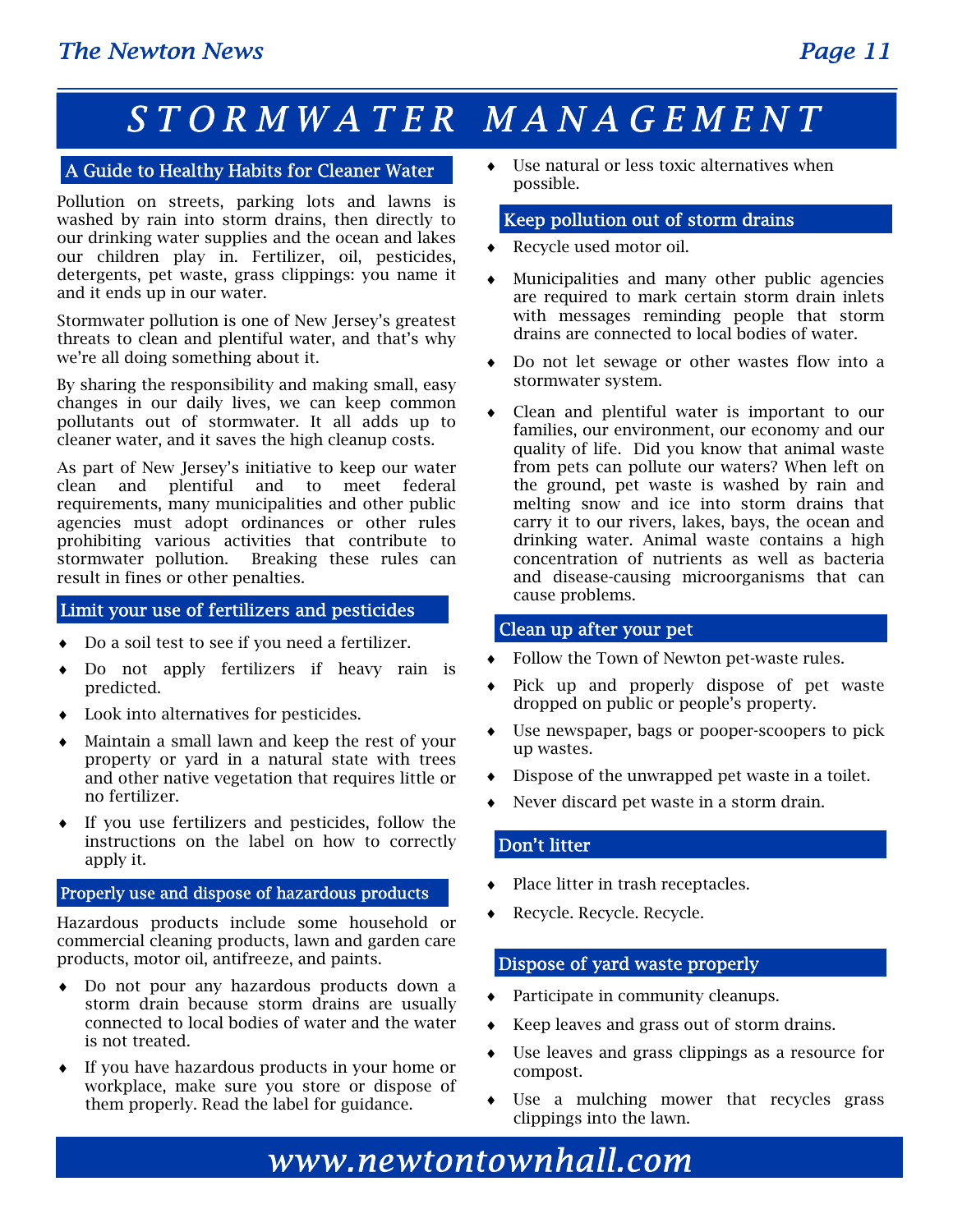# *STORMWATER MANAGEMENT*

### A Guide to Healthy Habits for Cleaner Water

Pollution on streets, parking lots and lawns is washed by rain into storm drains, then directly to our drinking water supplies and the ocean and lakes our children play in. Fertilizer, oil, pesticides, detergents, pet waste, grass clippings: you name it and it ends up in our water.

Stormwater pollution is one of New Jersey's greatest threats to clean and plentiful water, and that's why we're all doing something about it.

By sharing the responsibility and making small, easy changes in our daily lives, we can keep common pollutants out of stormwater. It all adds up to cleaner water, and it saves the high cleanup costs.

As part of New Jersey's initiative to keep our water clean and plentiful and to meet federal requirements, many municipalities and other public agencies must adopt ordinances or other rules prohibiting various activities that contribute to stormwater pollution. Breaking these rules can result in fines or other penalties.

### Limit your use of fertilizers and pesticides

- Do a soil test to see if you need a fertilizer.
- Do not apply fertilizers if heavy rain is predicted.
- Look into alternatives for pesticides.
- Maintain a small lawn and keep the rest of your property or yard in a natural state with trees and other native vegetation that requires little or no fertilizer.
- If you use fertilizers and pesticides, follow the instructions on the label on how to correctly apply it.

### Properly use and dispose of hazardous products

Hazardous products include some household or commercial cleaning products, lawn and garden care products, motor oil, antifreeze, and paints.

- Do not pour any hazardous products down a storm drain because storm drains are usually connected to local bodies of water and the water is not treated.
- If you have hazardous products in your home or workplace, make sure you store or dispose of them properly. Read the label for guidance.

 Use natural or less toxic alternatives when possible.

#### Keep pollution out of storm drains

- Recycle used motor oil.
- Municipalities and many other public agencies are required to mark certain storm drain inlets with messages reminding people that storm drains are connected to local bodies of water.
- Do not let sewage or other wastes flow into a stormwater system.
- Clean and plentiful water is important to our families, our environment, our economy and our quality of life. Did you know that animal waste from pets can pollute our waters? When left on the ground, pet waste is washed by rain and melting snow and ice into storm drains that carry it to our rivers, lakes, bays, the ocean and drinking water. Animal waste contains a high concentration of nutrients as well as bacteria and disease-causing microorganisms that can cause problems.

#### Clean up after your pet

- Follow the Town of Newton pet-waste rules.
- Pick up and properly dispose of pet waste dropped on public or people's property.
- Use newspaper, bags or pooper-scoopers to pick up wastes.
- Dispose of the unwrapped pet waste in a toilet.
- Never discard pet waste in a storm drain.

#### Don't litter

- Place litter in trash receptacles.
- Recycle. Recycle. Recycle.

### Dispose of yard waste properly

- Participate in community cleanups.
- Keep leaves and grass out of storm drains.
- Use leaves and grass clippings as a resource for compost.
- Use a mulching mower that recycles grass clippings into the lawn.